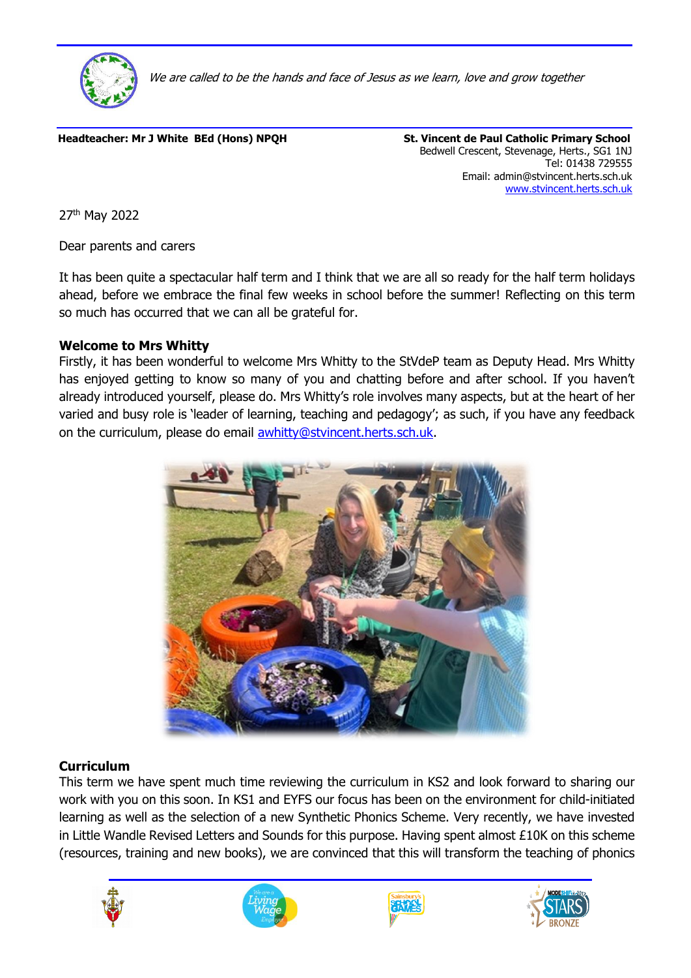

We are called to be the hands and face of Jesus as we learn, love and grow together

Headteacher: Mr J White BEd (Hons) NPQH St. Vincent de Paul Catholic Primary School

Bedwell Crescent, Stevenage, Herts., SG1 1NJ Tel: 01438 729555 Email: admin@stvincent.herts.sch.uk [www.stvincent.herts.sch.uk](http://www.stvincent.herts.sch.uk/)

27th May 2022

Dear parents and carers

It has been quite a spectacular half term and I think that we are all so ready for the half term holidays ahead, before we embrace the final few weeks in school before the summer! Reflecting on this term so much has occurred that we can all be grateful for.

#### **Welcome to Mrs Whitty**

Firstly, it has been wonderful to welcome Mrs Whitty to the StVdeP team as Deputy Head. Mrs Whitty has enjoyed getting to know so many of you and chatting before and after school. If you haven't already introduced yourself, please do. Mrs Whitty's role involves many aspects, but at the heart of her varied and busy role is 'leader of learning, teaching and pedagogy'; as such, if you have any feedback on the curriculum, please do email [awhitty@stvincent.herts.sch.uk.](mailto:awhitty@stvincent.herts.sch.uk)



#### **Curriculum**

This term we have spent much time reviewing the curriculum in KS2 and look forward to sharing our work with you on this soon. In KS1 and EYFS our focus has been on the environment for child-initiated learning as well as the selection of a new Synthetic Phonics Scheme. Very recently, we have invested in Little Wandle Revised Letters and Sounds for this purpose. Having spent almost  $£10K$  on this scheme (resources, training and new books), we are convinced that this will transform the teaching of phonics







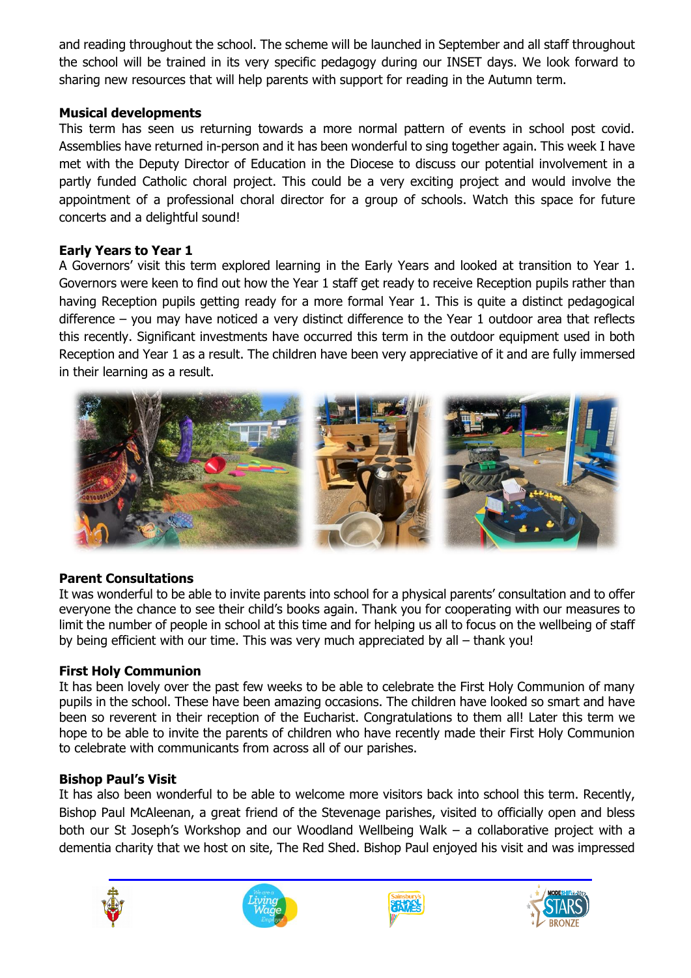and reading throughout the school. The scheme will be launched in September and all staff throughout the school will be trained in its very specific pedagogy during our INSET days. We look forward to sharing new resources that will help parents with support for reading in the Autumn term.

### **Musical developments**

This term has seen us returning towards a more normal pattern of events in school post covid. Assemblies have returned in-person and it has been wonderful to sing together again. This week I have met with the Deputy Director of Education in the Diocese to discuss our potential involvement in a partly funded Catholic choral project. This could be a very exciting project and would involve the appointment of a professional choral director for a group of schools. Watch this space for future concerts and a delightful sound!

### **Early Years to Year 1**

A Governors' visit this term explored learning in the Early Years and looked at transition to Year 1. Governors were keen to find out how the Year 1 staff get ready to receive Reception pupils rather than having Reception pupils getting ready for a more formal Year 1. This is quite a distinct pedagogical difference – you may have noticed a very distinct difference to the Year 1 outdoor area that reflects this recently. Significant investments have occurred this term in the outdoor equipment used in both Reception and Year 1 as a result. The children have been very appreciative of it and are fully immersed in their learning as a result.



### **Parent Consultations**

It was wonderful to be able to invite parents into school for a physical parents' consultation and to offer everyone the chance to see their child's books again. Thank you for cooperating with our measures to limit the number of people in school at this time and for helping us all to focus on the wellbeing of staff by being efficient with our time. This was very much appreciated by all – thank you!

## **First Holy Communion**

It has been lovely over the past few weeks to be able to celebrate the First Holy Communion of many pupils in the school. These have been amazing occasions. The children have looked so smart and have been so reverent in their reception of the Eucharist. Congratulations to them all! Later this term we hope to be able to invite the parents of children who have recently made their First Holy Communion to celebrate with communicants from across all of our parishes.

### **Bishop Paul's Visit**

It has also been wonderful to be able to welcome more visitors back into school this term. Recently, Bishop Paul McAleenan, a great friend of the Stevenage parishes, visited to officially open and bless both our St Joseph's Workshop and our Woodland Wellbeing Walk – a collaborative project with a dementia charity that we host on site, The Red Shed. Bishop Paul enjoyed his visit and was impressed







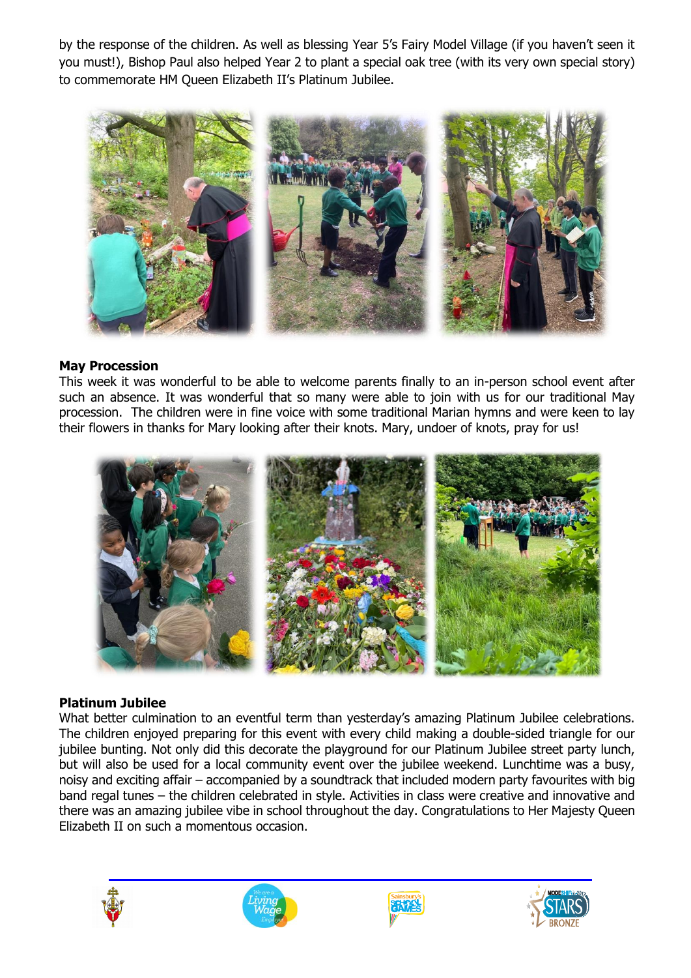by the response of the children. As well as blessing Year 5's Fairy Model Village (if you haven't seen it you must!), Bishop Paul also helped Year 2 to plant a special oak tree (with its very own special story) to commemorate HM Queen Elizabeth II's Platinum Jubilee.



#### **May Procession**

This week it was wonderful to be able to welcome parents finally to an in-person school event after such an absence. It was wonderful that so many were able to join with us for our traditional May procession. The children were in fine voice with some traditional Marian hymns and were keen to lay their flowers in thanks for Mary looking after their knots. Mary, undoer of knots, pray for us!



#### **Platinum Jubilee**

What better culmination to an eventful term than yesterday's amazing Platinum Jubilee celebrations. The children enjoyed preparing for this event with every child making a double-sided triangle for our jubilee bunting. Not only did this decorate the playground for our Platinum Jubilee street party lunch, but will also be used for a local community event over the jubilee weekend. Lunchtime was a busy, noisy and exciting affair – accompanied by a soundtrack that included modern party favourites with big band regal tunes – the children celebrated in style. Activities in class were creative and innovative and there was an amazing jubilee vibe in school throughout the day. Congratulations to Her Majesty Queen Elizabeth II on such a momentous occasion.







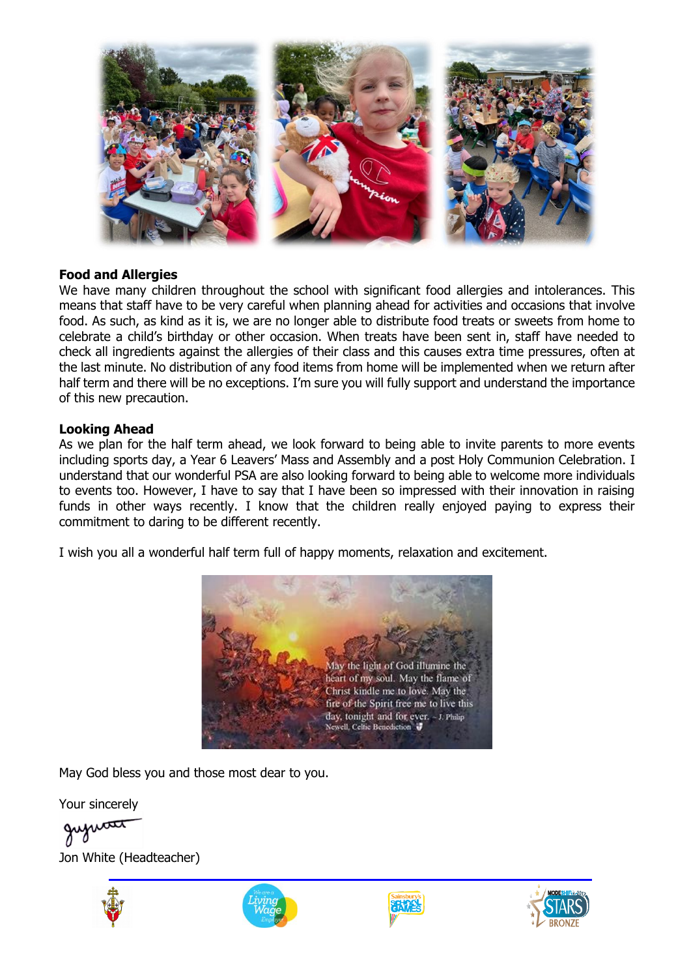

### **Food and Allergies**

We have many children throughout the school with significant food allergies and intolerances. This means that staff have to be very careful when planning ahead for activities and occasions that involve food. As such, as kind as it is, we are no longer able to distribute food treats or sweets from home to celebrate a child's birthday or other occasion. When treats have been sent in, staff have needed to check all ingredients against the allergies of their class and this causes extra time pressures, often at the last minute. No distribution of any food items from home will be implemented when we return after half term and there will be no exceptions. I'm sure you will fully support and understand the importance of this new precaution.

#### **Looking Ahead**

As we plan for the half term ahead, we look forward to being able to invite parents to more events including sports day, a Year 6 Leavers' Mass and Assembly and a post Holy Communion Celebration. I understand that our wonderful PSA are also looking forward to being able to welcome more individuals to events too. However, I have to say that I have been so impressed with their innovation in raising funds in other ways recently. I know that the children really enjoyed paying to express their commitment to daring to be different recently.

I wish you all a wonderful half term full of happy moments, relaxation and excitement.



May God bless you and those most dear to you.

Your sincerely

Jon White (Headteacher)